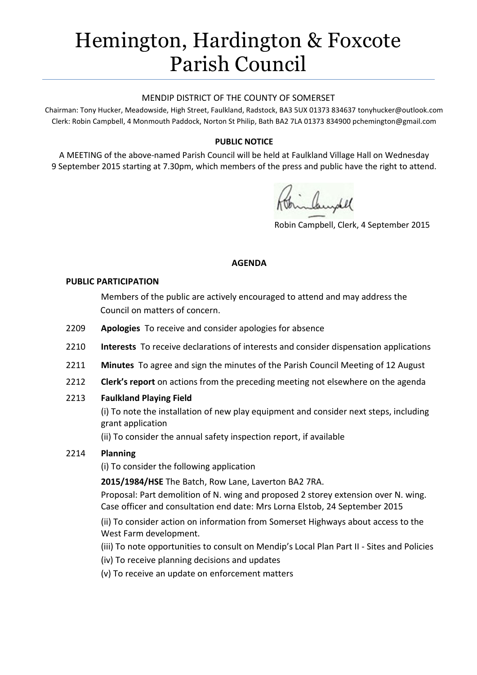# Hemington, Hardington & Foxcote Parish Council

#### MENDIP DISTRICT OF THE COUNTY OF SOMERSET

Chairman: Tony Hucker, Meadowside, High Street, Faulkland, Radstock, BA3 5UX 01373 834637 tonyhucker@outlook.com Clerk: Robin Campbell, 4 Monmouth Paddock, Norton St Philip, Bath BA2 7LA 01373 834900 [pchemington@gmail.com](mailto:pchemington@gmail.com)

## **PUBLIC NOTICE**

A MEETING of the above-named Parish Council will be held at Faulkland Village Hall on Wednesday 9 September 2015 starting at 7.30pm, which members of the press and public have the right to attend.

Robin Campbell, Clerk, 4 September 2015

## **AGENDA**

#### **PUBLIC PARTICIPATION**

Members of the public are actively encouraged to attend and may address the Council on matters of concern.

- 2209 **Apologies** To receive and consider apologies for absence
- 2210 **Interests** To receive declarations of interests and consider dispensation applications
- 2211 **Minutes** To agree and sign the minutes of the Parish Council Meeting of 12 August
- 2212 **Clerk's report** on actions from the preceding meeting not elsewhere on the agenda

## 2213 **Faulkland Playing Field**

(i) To note the installation of new play equipment and consider next steps, including grant application

(ii) To consider the annual safety inspection report, if available

## 2214 **Planning**

(i) To consider the following application

**2015/1984/HSE** The Batch, Row Lane, Laverton BA2 7RA.

Proposal: Part demolition of N. wing and proposed 2 storey extension over N. wing. Case officer and consultation end date: Mrs Lorna Elstob, 24 September 2015

(ii) To consider action on information from Somerset Highways about access to the West Farm development.

(iii) To note opportunities to consult on Mendip's Local Plan Part II - Sites and Policies

- (iv) To receive planning decisions and updates
- (v) To receive an update on enforcement matters